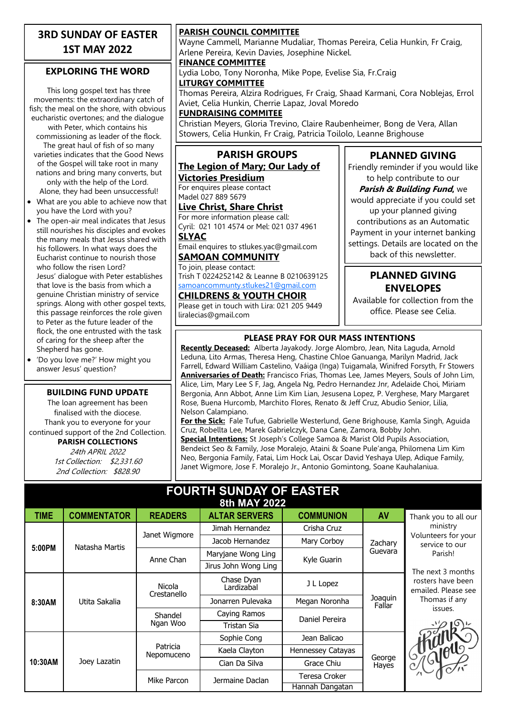### **3RD SUNDAY OF EASTER 1ST MAY 2022**

#### **EXPLORING THE WORD**

This long gospel text has three movements: the extraordinary catch of fish; the meal on the shore, with obvious eucharistic overtones; and the dialogue with Peter, which contains his commissioning as leader of the flock. The great haul of fish of so many varieties indicates that the Good News of the Gospel will take root in many nations and bring many converts, but only with the help of the Lord. Alone, they had been unsuccessful! • What are you able to achieve now that

- you have the Lord with you? • The open-air meal indicates that Jesus still nourishes his disciples and evokes the many meals that Jesus shared with his followers. In what ways does the Eucharist continue to nourish those who follow the risen Lord? Jesus' dialogue with Peter establishes that love is the basis from which a genuine Christian ministry of service springs. Along with other gospel texts, this passage reinforces the role given to Peter as the future leader of the flock, the one entrusted with the task of caring for the sheep after the Shepherd has gone.
- 'Do you love me?' How might you answer Jesus' question?

#### **BUILDING FUND UPDATE**

The loan agreement has been finalised with the diocese. Thank you to everyone for your continued support of the 2nd Collection. **PARISH COLLECTIONS**

24th APRIL 2022 1st Collection: \$2,331.60 2nd Collection: \$828.90

#### **PARISH COUNCIL COMMITTEE**

Wayne Cammell, Marianne Mudaliar, Thomas Pereira, Celia Hunkin, Fr Craig, Arlene Pereira, Kevin Davies, Josephine Nickel.

#### **FINANCE COMMITTEE**

Lydia Lobo, Tony Noronha, Mike Pope, Evelise Sia, Fr.Craig **LITURGY COMMITTEE**

Thomas Pereira, Alzira Rodrigues, Fr Craig, Shaad Karmani, Cora Noblejas, Errol Aviet, Celia Hunkin, Cherrie Lapaz, Joval Moredo

#### **FUNDRAISING COMMITEE**

Christian Meyers, Gloria Trevino, Claire Raubenheimer, Bong de Vera, Allan Stowers, Celia Hunkin, Fr Craig, Patricia Toilolo, Leanne Brighouse

#### **PARISH GROUPS The Legion of Mary; Our Lady of**

**Victories Presidium** For enquires please contact Madel 027 889 5679

#### **Live Christ, Share Christ**

For more information please call: Cyril: 021 101 4574 or Mel: 021 037 4961 **SLYAC**

Email enquires to stlukes.yac@gmail.com **SAMOAN COMMUNITY**

To join, please contact: Trish T 0224252142 & Leanne B 0210639125 [samoancommunty.stlukes21@gmail.com](mailto:samoancommunity.stlukes21@gmail.com)

### **CHILDRENS & YOUTH CHOIR**

Please get in touch with Lira: 021 205 9449 liralecias@gmail.com

## **PLANNED GIVING**

Friendly reminder if you would like to help contribute to our

**Parish & Building Fund,** we would appreciate if you could set up your planned giving contributions as an Automatic Payment in your internet banking settings. Details are located on the back of this newsletter.

#### **PLANNED GIVING ENVELOPES**

Available for collection from the office. Please see Celia.

#### **PLEASE PRAY FOR OUR MASS INTENTIONS**

**Recently Deceased:** Alberta Jayakody. Jorge Alombro, Jean, Nita Laguda, Arnold Leduna, Lito Armas, Theresa Heng, Chastine Chloe Ganuanga, Marilyn Madrid, Jack Farrell, Edward William Castelino, Vaáiga (Inga) Tuigamala, Winifred Forsyth, Fr Stowers **Anniversaries of Death:** Francisco Frias, Thomas Lee, James Meyers, Souls of John Lim, Alice, Lim, Mary Lee S F, Jag, Angela Ng, Pedro Hernandez Jnr, Adelaide Choi, Miriam Bergonia, Ann Abbot, Anne Lim Kim Lian, Jesusena Lopez, P. Verghese, Mary Margaret Rose, Buena Hurcomb, Marchito Flores, Renato & Jeff Cruz, Abudio Senior, Lilia, Nelson Calampiano.

**For the Sick:** Fale Tufue, Gabrielle Westerlund, Gene Brighouse, Kamla Singh, Aguida Cruz, Robellta Lee, Marek Gabrielczyk, Dana Cane, Zamora, Bobby John. **Special Intentions:** St Joseph's College Samoa & Marist Old Pupils Association,

Bendeict Seo & Family, Jose Moralejo, Ataini & Soane Pule'anga, Philomena Lim Kim Neo, Bergonia Family, Fatai, Lim Hock Lai, Oscar David Yeshaya Ulep, Adique Family, Janet Wigmore, Jose F. Moralejo Jr., Antonio Gomintong, Soane Kauhalaniua.

#### **FOURTH SUNDAY OF EASTER 8th MAY 2022**

| <b>TIME</b> | <b>COMMENTATOR</b> | <b>READERS</b>         | <b>ALTAR SERVERS</b>     | <b>COMMUNION</b>  | AV                 | Thank you to all our                                                                      |
|-------------|--------------------|------------------------|--------------------------|-------------------|--------------------|-------------------------------------------------------------------------------------------|
| 5:00PM      | Natasha Martis     | Janet Wigmore          | Jimah Hernandez          | Crisha Cruz       | Zachary<br>Guevara | ministry                                                                                  |
|             |                    |                        | Jacob Hernandez          | Mary Corboy       |                    | Volunteers for your<br>service to our<br>Parish!                                          |
|             |                    | Anne Chan              | Maryjane Wong Ling       | Kyle Guarin       |                    |                                                                                           |
|             |                    |                        | Jirus John Wong Ling     |                   |                    | The next 3 months<br>rosters have been<br>emailed. Please see<br>Thomas if any<br>issues. |
| 8:30AM      | Utita Sakalia      | Nicola<br>Crestanello  | Chase Dyan<br>Lardizabal | J L Lopez         | Joaquin<br>Fallar  |                                                                                           |
|             |                    |                        | Jonarren Pulevaka        | Megan Noronha     |                    |                                                                                           |
|             |                    | Shandel<br>Ngan Woo    | Caying Ramos             | Daniel Pereira    |                    |                                                                                           |
|             |                    |                        | Tristan Sia              |                   |                    |                                                                                           |
| 10:30AM     | Joey Lazatin       | Patricia<br>Nepomuceno | Sophie Cong              | Jean Balicao      | George<br>Hayes    |                                                                                           |
|             |                    |                        | Kaela Clayton            | Hennessey Catayas |                    | Graped ,                                                                                  |
|             |                    |                        | Cian Da Silva            | Grace Chiu        |                    |                                                                                           |
|             |                    | Mike Parcon            | Jermaine Daclan          | Teresa Croker     |                    |                                                                                           |
|             |                    |                        |                          | Hannah Dangatan   |                    |                                                                                           |